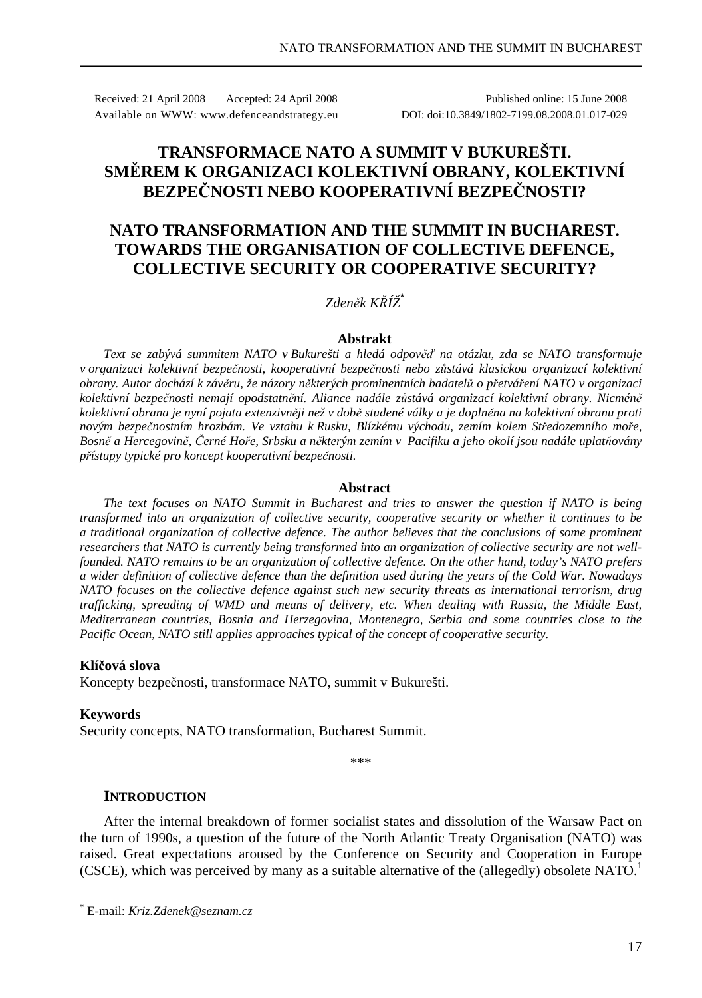Received: 21 April 2008 Accepted: 24 April 2008 Published online: 15 June 2008 Available on WWW: www.defenceandstrategy.eu DOI: doi:10.3849/1802-7199.08.2008.01.017-029

# **TRANSFORMACE NATO A SUMMIT V BUKUREŠTI. SMĚREM K ORGANIZACI KOLEKTIVNÍ OBRANY, KOLEKTIVNÍ BEZPEČNOSTI NEBO KOOPERATIVNÍ BEZPEČNOSTI?**

# **NATO TRANSFORMATION AND THE SUMMIT IN BUCHAREST. TOWARDS THE ORGANISATION OF COLLECTIVE DEFENCE, COLLECTIVE SECURITY OR COOPERATIVE SECURITY?**

## *Zdeněk KŘÍŽ***\***

#### **Abstrakt**

*Text se zabývá summitem NATO v Bukurešti a hledá odpověď na otázku, zda se NATO transformuje v organizaci kolektivní bezpečnosti, kooperativní bezpečnosti nebo zůstává klasickou organizací kolektivní obrany. Autor dochází k závěru, že názory některých prominentních badatelů o přetváření NATO v organizaci kolektivní bezpečnosti nemají opodstatnění. Aliance nadále zůstává organizací kolektivní obrany. Nicméně kolektivní obrana je nyní pojata extenzivněji než v době studené války a je doplněna na kolektivní obranu proti novým bezpečnostním hrozbám. Ve vztahu k Rusku, Blízkému východu, zemím kolem Středozemního moře, Bosně a Hercegovině, Černé Hoře, Srbsku a některým zemím v Pacifiku a jeho okolí jsou nadále uplatňovány přístupy typické pro koncept kooperativní bezpečnosti.* 

#### **Abstract**

*The text focuses on NATO Summit in Bucharest and tries to answer the question if NATO is being transformed into an organization of collective security, cooperative security or whether it continues to be a traditional organization of collective defence. The author believes that the conclusions of some prominent researchers that NATO is currently being transformed into an organization of collective security are not wellfounded. NATO remains to be an organization of collective defence. On the other hand, today's NATO prefers a wider definition of collective defence than the definition used during the years of the Cold War. Nowadays NATO focuses on the collective defence against such new security threats as international terrorism, drug trafficking, spreading of WMD and means of delivery, etc. When dealing with Russia, the Middle East, Mediterranean countries, Bosnia and Herzegovina, Montenegro, Serbia and some countries close to the Pacific Ocean, NATO still applies approaches typical of the concept of cooperative security.* 

#### **Klíčová slova**

Koncepty bezpečnosti, transformace NATO, summit v Bukurešti.

#### **Keywords**

 $\overline{a}$ 

Security concepts, NATO transformation, Bucharest Summit.

\*\*\*

### **INTRODUCTION**

After the internal breakdown of former socialist states and dissolution of the Warsaw Pact on the turn of 1990s, a question of the future of the North Atlantic Treaty Organisation (NATO) was raised. Great expectations aroused by the Conference on Security and Cooperation in Europe (CSCE), which was perceived by many as a suitable alternative of the (allegedly) obsolete NATO.<sup>1</sup>

<sup>\*</sup> E-mail: *Kriz.Zdenek@seznam.cz*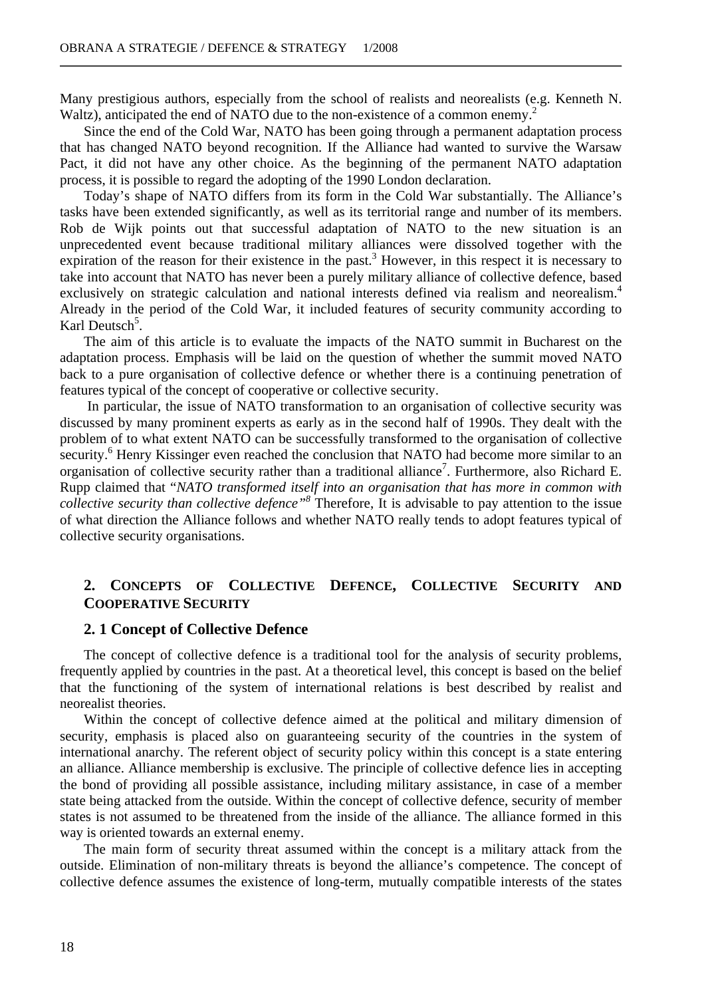Many prestigious authors, especially from the school of realists and neorealists (e.g. Kenneth N. Waltz), anticipated the end of NATO due to the non-existence of a common enemy.

Since the end of the Cold War, NATO has been going through a permanent adaptation process that has changed NATO beyond recognition. If the Alliance had wanted to survive the Warsaw Pact, it did not have any other choice. As the beginning of the permanent NATO adaptation process, it is possible to regard the adopting of the 1990 London declaration.

Today's shape of NATO differs from its form in the Cold War substantially. The Alliance's tasks have been extended significantly, as well as its territorial range and number of its members. Rob de Wijk points out that successful adaptation of NATO to the new situation is an unprecedented event because traditional military alliances were dissolved together with the expiration of the reason for their existence in the past.<sup>3</sup> However, in this respect it is necessary to take into account that NATO has never been a purely military alliance of collective defence, based exclusively on strategic calculation and national interests defined via realism and neorealism.<sup>4</sup> Already in the period of the Cold War, it included features of security community according to Karl Deutsch<sup>5</sup>.

The aim of this article is to evaluate the impacts of the NATO summit in Bucharest on the adaptation process. Emphasis will be laid on the question of whether the summit moved NATO back to a pure organisation of collective defence or whether there is a continuing penetration of features typical of the concept of cooperative or collective security.

 In particular, the issue of NATO transformation to an organisation of collective security was discussed by many prominent experts as early as in the second half of 1990s. They dealt with the problem of to what extent NATO can be successfully transformed to the organisation of collective security.<sup>6</sup> Henry Kissinger even reached the conclusion that NATO had become more similar to an organisation of collective security rather than a traditional alliance<sup>7</sup>. Furthermore, also Richard E. Rupp claimed that "*NATO transformed itself into an organisation that has more in common with collective security than collective defence"<sup>8</sup>* Therefore, It is advisable to pay attention to the issue of what direction the Alliance follows and whether NATO really tends to adopt features typical of collective security organisations.

## **2. CONCEPTS OF COLLECTIVE DEFENCE, COLLECTIVE SECURITY AND COOPERATIVE SECURITY**

#### **2. 1 Concept of Collective Defence**

The concept of collective defence is a traditional tool for the analysis of security problems, frequently applied by countries in the past. At a theoretical level, this concept is based on the belief that the functioning of the system of international relations is best described by realist and neorealist theories.

Within the concept of collective defence aimed at the political and military dimension of security, emphasis is placed also on guaranteeing security of the countries in the system of international anarchy. The referent object of security policy within this concept is a state entering an alliance. Alliance membership is exclusive. The principle of collective defence lies in accepting the bond of providing all possible assistance, including military assistance, in case of a member state being attacked from the outside. Within the concept of collective defence, security of member states is not assumed to be threatened from the inside of the alliance. The alliance formed in this way is oriented towards an external enemy.

The main form of security threat assumed within the concept is a military attack from the outside. Elimination of non-military threats is beyond the alliance's competence. The concept of collective defence assumes the existence of long-term, mutually compatible interests of the states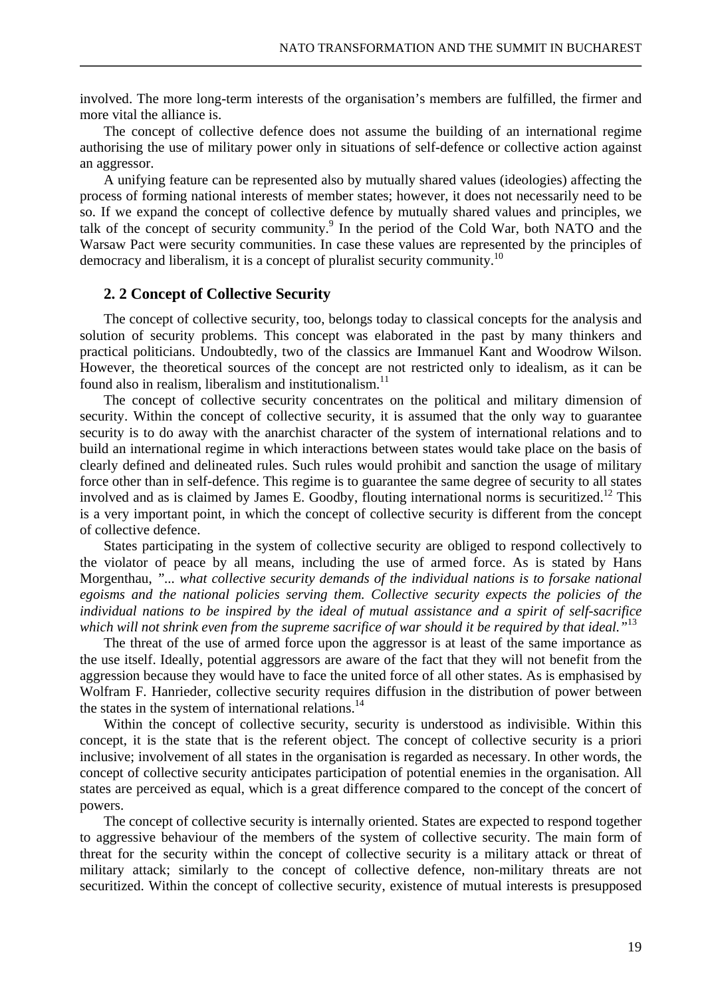involved. The more long-term interests of the organisation's members are fulfilled, the firmer and more vital the alliance is.

The concept of collective defence does not assume the building of an international regime authorising the use of military power only in situations of self-defence or collective action against an aggressor.

A unifying feature can be represented also by mutually shared values (ideologies) affecting the process of forming national interests of member states; however, it does not necessarily need to be so. If we expand the concept of collective defence by mutually shared values and principles, we talk of the concept of security community.<sup>9</sup> In the period of the Cold War, both NATO and the Warsaw Pact were security communities. In case these values are represented by the principles of democracy and liberalism, it is a concept of pluralist security community.<sup>10</sup>

## **2. 2 Concept of Collective Security**

The concept of collective security, too, belongs today to classical concepts for the analysis and solution of security problems. This concept was elaborated in the past by many thinkers and practical politicians. Undoubtedly, two of the classics are Immanuel Kant and Woodrow Wilson. However, the theoretical sources of the concept are not restricted only to idealism, as it can be found also in realism, liberalism and institutionalism. $11$ 

The concept of collective security concentrates on the political and military dimension of security. Within the concept of collective security, it is assumed that the only way to guarantee security is to do away with the anarchist character of the system of international relations and to build an international regime in which interactions between states would take place on the basis of clearly defined and delineated rules. Such rules would prohibit and sanction the usage of military force other than in self-defence. This regime is to guarantee the same degree of security to all states involved and as is claimed by James E. Goodby, flouting international norms is securitized.<sup>12</sup> This is a very important point, in which the concept of collective security is different from the concept of collective defence.

States participating in the system of collective security are obliged to respond collectively to the violator of peace by all means, including the use of armed force. As is stated by Hans Morgenthau, *"... what collective security demands of the individual nations is to forsake national egoisms and the national policies serving them. Collective security expects the policies of the individual nations to be inspired by the ideal of mutual assistance and a spirit of self-sacrifice which will not shrink even from the supreme sacrifice of war should it be required by that ideal."*<sup>13</sup>

The threat of the use of armed force upon the aggressor is at least of the same importance as the use itself. Ideally, potential aggressors are aware of the fact that they will not benefit from the aggression because they would have to face the united force of all other states. As is emphasised by Wolfram F. Hanrieder, collective security requires diffusion in the distribution of power between the states in the system of international relations.<sup>14</sup>

Within the concept of collective security, security is understood as indivisible. Within this concept, it is the state that is the referent object. The concept of collective security is a priori inclusive; involvement of all states in the organisation is regarded as necessary. In other words, the concept of collective security anticipates participation of potential enemies in the organisation. All states are perceived as equal, which is a great difference compared to the concept of the concert of powers.

The concept of collective security is internally oriented. States are expected to respond together to aggressive behaviour of the members of the system of collective security. The main form of threat for the security within the concept of collective security is a military attack or threat of military attack; similarly to the concept of collective defence, non-military threats are not securitized. Within the concept of collective security, existence of mutual interests is presupposed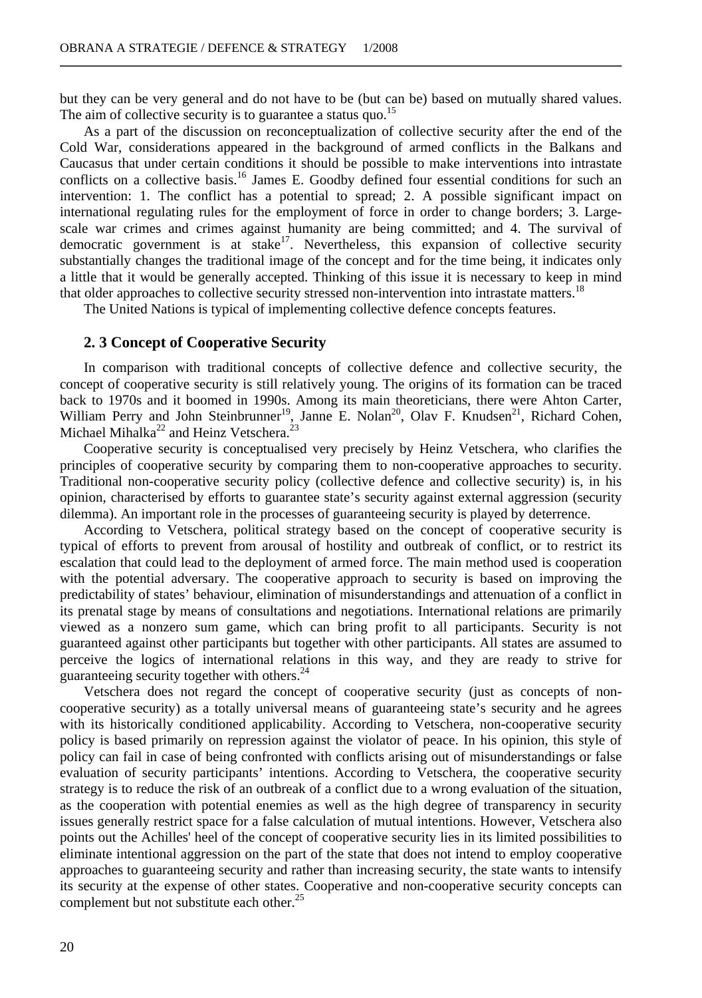but they can be very general and do not have to be (but can be) based on mutually shared values. The aim of collective security is to guarantee a status quo.<sup>15</sup>

As a part of the discussion on reconceptualization of collective security after the end of the Cold War, considerations appeared in the background of armed conflicts in the Balkans and Caucasus that under certain conditions it should be possible to make interventions into intrastate conflicts on a collective basis.<sup>16</sup> James E. Goodby defined four essential conditions for such an intervention: 1. The conflict has a potential to spread; 2. A possible significant impact on international regulating rules for the employment of force in order to change borders; 3. Largescale war crimes and crimes against humanity are being committed; and 4. The survival of democratic government is at stake<sup>17</sup>. Nevertheless, this expansion of collective security substantially changes the traditional image of the concept and for the time being, it indicates only a little that it would be generally accepted. Thinking of this issue it is necessary to keep in mind that older approaches to collective security stressed non-intervention into intrastate matters.<sup>18</sup>

The United Nations is typical of implementing collective defence concepts features.

#### **2. 3 Concept of Cooperative Security**

In comparison with traditional concepts of collective defence and collective security, the concept of cooperative security is still relatively young. The origins of its formation can be traced back to 1970s and it boomed in 1990s. Among its main theoreticians, there were Ahton Carter, William Perry and John Steinbrunner<sup>19</sup>, Janne E. Nolan<sup>20</sup>, Olav F. Knudsen<sup>21</sup>, Richard Cohen, Michael Mihalka<sup>22</sup> and Heinz Vetschera.<sup>23</sup>

Cooperative security is conceptualised very precisely by Heinz Vetschera, who clarifies the principles of cooperative security by comparing them to non-cooperative approaches to security. Traditional non-cooperative security policy (collective defence and collective security) is, in his opinion, characterised by efforts to guarantee state's security against external aggression (security dilemma). An important role in the processes of guaranteeing security is played by deterrence.

According to Vetschera, political strategy based on the concept of cooperative security is typical of efforts to prevent from arousal of hostility and outbreak of conflict, or to restrict its escalation that could lead to the deployment of armed force. The main method used is cooperation with the potential adversary. The cooperative approach to security is based on improving the predictability of states' behaviour, elimination of misunderstandings and attenuation of a conflict in its prenatal stage by means of consultations and negotiations. International relations are primarily viewed as a nonzero sum game, which can bring profit to all participants. Security is not guaranteed against other participants but together with other participants. All states are assumed to perceive the logics of international relations in this way, and they are ready to strive for guaranteeing security together with others.<sup>24</sup>

Vetschera does not regard the concept of cooperative security (just as concepts of noncooperative security) as a totally universal means of guaranteeing state's security and he agrees with its historically conditioned applicability. According to Vetschera, non-cooperative security policy is based primarily on repression against the violator of peace. In his opinion, this style of policy can fail in case of being confronted with conflicts arising out of misunderstandings or false evaluation of security participants' intentions. According to Vetschera, the cooperative security strategy is to reduce the risk of an outbreak of a conflict due to a wrong evaluation of the situation, as the cooperation with potential enemies as well as the high degree of transparency in security issues generally restrict space for a false calculation of mutual intentions. However, Vetschera also points out the Achilles' heel of the concept of cooperative security lies in its limited possibilities to eliminate intentional aggression on the part of the state that does not intend to employ cooperative approaches to guaranteeing security and rather than increasing security, the state wants to intensify its security at the expense of other states. Cooperative and non-cooperative security concepts can complement but not substitute each other.<sup>25</sup>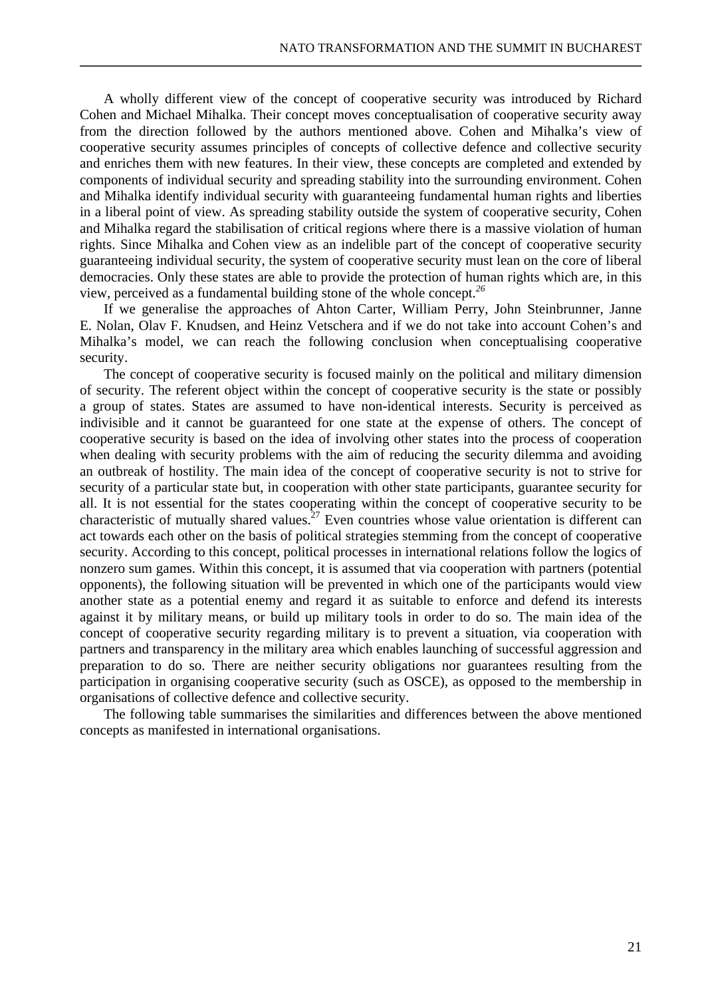A wholly different view of the concept of cooperative security was introduced by Richard Cohen and Michael Mihalka. Their concept moves conceptualisation of cooperative security away from the direction followed by the authors mentioned above. Cohen and Mihalka's view of cooperative security assumes principles of concepts of collective defence and collective security and enriches them with new features. In their view, these concepts are completed and extended by components of individual security and spreading stability into the surrounding environment. Cohen and Mihalka identify individual security with guaranteeing fundamental human rights and liberties in a liberal point of view. As spreading stability outside the system of cooperative security, Cohen and Mihalka regard the stabilisation of critical regions where there is a massive violation of human rights. Since Mihalka and Cohen view as an indelible part of the concept of cooperative security guaranteeing individual security, the system of cooperative security must lean on the core of liberal democracies. Only these states are able to provide the protection of human rights which are, in this view, perceived as a fundamental building stone of the whole concept.*<sup>26</sup>*

If we generalise the approaches of Ahton Carter, William Perry, John Steinbrunner, Janne E. Nolan, Olav F. Knudsen, and Heinz Vetschera and if we do not take into account Cohen's and Mihalka's model, we can reach the following conclusion when conceptualising cooperative security.

The concept of cooperative security is focused mainly on the political and military dimension of security. The referent object within the concept of cooperative security is the state or possibly a group of states. States are assumed to have non-identical interests. Security is perceived as indivisible and it cannot be guaranteed for one state at the expense of others. The concept of cooperative security is based on the idea of involving other states into the process of cooperation when dealing with security problems with the aim of reducing the security dilemma and avoiding an outbreak of hostility. The main idea of the concept of cooperative security is not to strive for security of a particular state but, in cooperation with other state participants, guarantee security for all. It is not essential for the states cooperating within the concept of cooperative security to be characteristic of mutually shared values.<sup>27</sup> Even countries whose value orientation is different can act towards each other on the basis of political strategies stemming from the concept of cooperative security. According to this concept, political processes in international relations follow the logics of nonzero sum games. Within this concept, it is assumed that via cooperation with partners (potential opponents), the following situation will be prevented in which one of the participants would view another state as a potential enemy and regard it as suitable to enforce and defend its interests against it by military means, or build up military tools in order to do so. The main idea of the concept of cooperative security regarding military is to prevent a situation, via cooperation with partners and transparency in the military area which enables launching of successful aggression and preparation to do so. There are neither security obligations nor guarantees resulting from the participation in organising cooperative security (such as OSCE), as opposed to the membership in organisations of collective defence and collective security.

The following table summarises the similarities and differences between the above mentioned concepts as manifested in international organisations.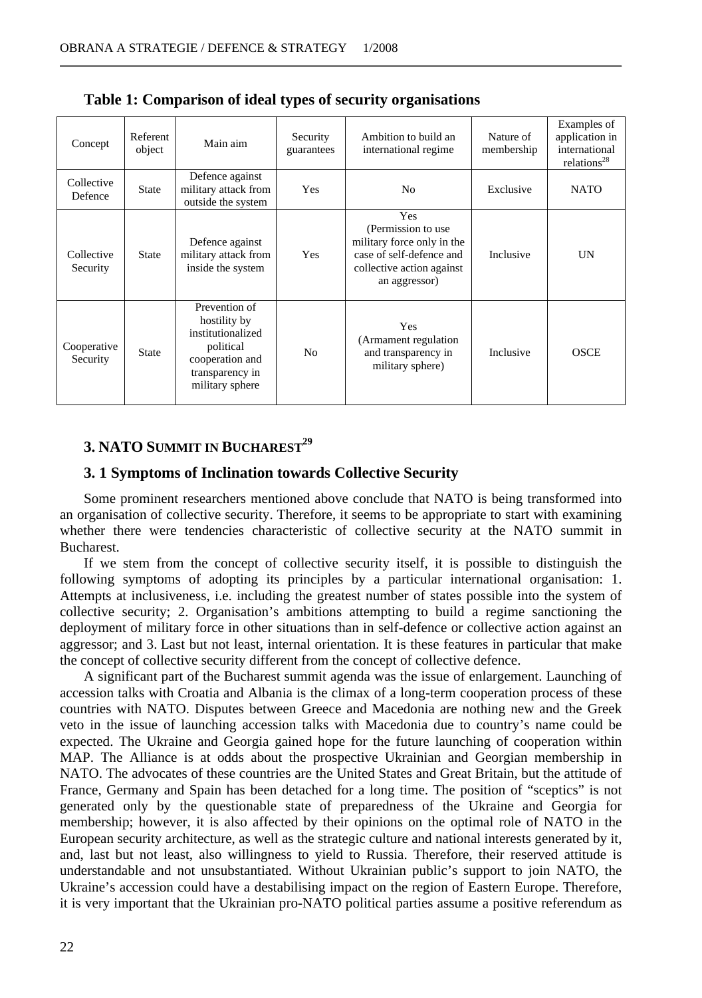| Concept                 | Referent<br>object | Main aim                                                                                                                 | Security<br>guarantees | Ambition to build an<br>international regime                                                                                       | Nature of<br>membership | Examples of<br>application in<br>international<br>relations <sup>28</sup> |
|-------------------------|--------------------|--------------------------------------------------------------------------------------------------------------------------|------------------------|------------------------------------------------------------------------------------------------------------------------------------|-------------------------|---------------------------------------------------------------------------|
| Collective<br>Defence   | <b>State</b>       | Defence against<br>military attack from<br>outside the system                                                            | <b>Yes</b>             | N <sub>0</sub>                                                                                                                     | Exclusive               | <b>NATO</b>                                                               |
| Collective<br>Security  | State              | Defence against<br>military attack from<br>inside the system                                                             | Yes                    | Yes<br>(Permission to use)<br>military force only in the<br>case of self-defence and<br>collective action against<br>an aggressor) | Inclusive               | UN                                                                        |
| Cooperative<br>Security | <b>State</b>       | Prevention of<br>hostility by<br>institutionalized<br>political<br>cooperation and<br>transparency in<br>military sphere | N <sub>0</sub>         | <b>Yes</b><br>(Armament regulation)<br>and transparency in<br>military sphere)                                                     | Inclusive               | OSCE                                                                      |

**Table 1: Comparison of ideal types of security organisations** 

## **3. NATO SUMMIT IN BUCHAREST<sup>29</sup>**

## **3. 1 Symptoms of Inclination towards Collective Security**

Some prominent researchers mentioned above conclude that NATO is being transformed into an organisation of collective security. Therefore, it seems to be appropriate to start with examining whether there were tendencies characteristic of collective security at the NATO summit in Bucharest.

If we stem from the concept of collective security itself, it is possible to distinguish the following symptoms of adopting its principles by a particular international organisation: 1. Attempts at inclusiveness, i.e. including the greatest number of states possible into the system of collective security; 2. Organisation's ambitions attempting to build a regime sanctioning the deployment of military force in other situations than in self-defence or collective action against an aggressor; and 3. Last but not least, internal orientation. It is these features in particular that make the concept of collective security different from the concept of collective defence.

A significant part of the Bucharest summit agenda was the issue of enlargement. Launching of accession talks with Croatia and Albania is the climax of a long-term cooperation process of these countries with NATO. Disputes between Greece and Macedonia are nothing new and the Greek veto in the issue of launching accession talks with Macedonia due to country's name could be expected. The Ukraine and Georgia gained hope for the future launching of cooperation within MAP. The Alliance is at odds about the prospective Ukrainian and Georgian membership in NATO. The advocates of these countries are the United States and Great Britain, but the attitude of France, Germany and Spain has been detached for a long time. The position of "sceptics" is not generated only by the questionable state of preparedness of the Ukraine and Georgia for membership; however, it is also affected by their opinions on the optimal role of NATO in the European security architecture, as well as the strategic culture and national interests generated by it, and, last but not least, also willingness to yield to Russia. Therefore, their reserved attitude is understandable and not unsubstantiated. Without Ukrainian public's support to join NATO, the Ukraine's accession could have a destabilising impact on the region of Eastern Europe. Therefore, it is very important that the Ukrainian pro-NATO political parties assume a positive referendum as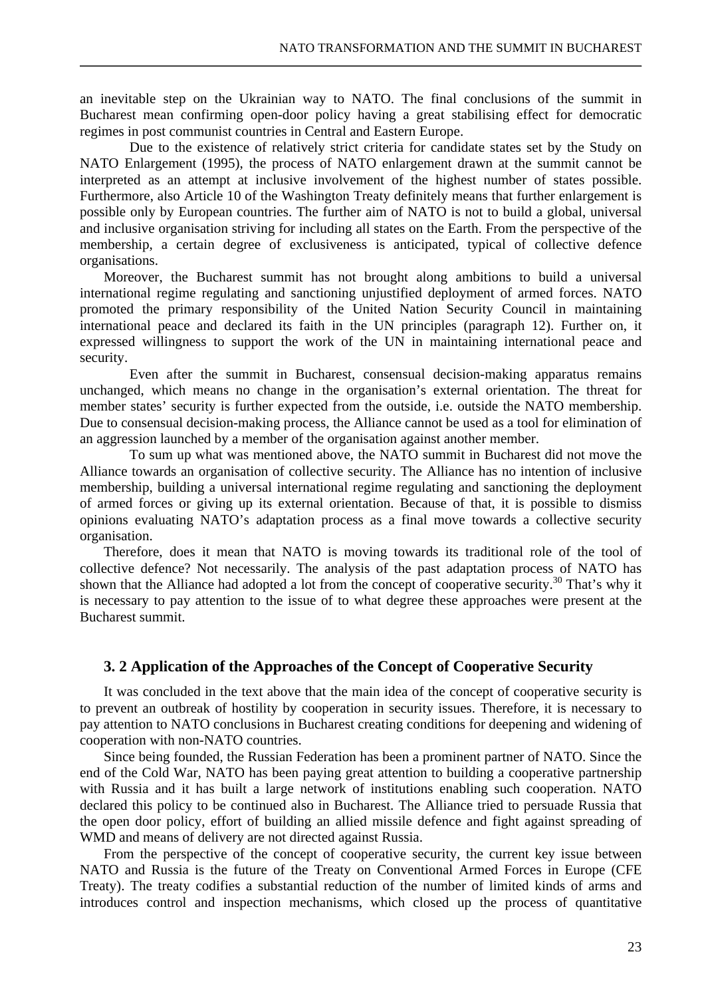an inevitable step on the Ukrainian way to NATO. The final conclusions of the summit in Bucharest mean confirming open-door policy having a great stabilising effect for democratic regimes in post communist countries in Central and Eastern Europe.

 Due to the existence of relatively strict criteria for candidate states set by the Study on NATO Enlargement (1995), the process of NATO enlargement drawn at the summit cannot be interpreted as an attempt at inclusive involvement of the highest number of states possible. Furthermore, also Article 10 of the Washington Treaty definitely means that further enlargement is possible only by European countries. The further aim of NATO is not to build a global, universal and inclusive organisation striving for including all states on the Earth. From the perspective of the membership, a certain degree of exclusiveness is anticipated, typical of collective defence organisations.

Moreover, the Bucharest summit has not brought along ambitions to build a universal international regime regulating and sanctioning unjustified deployment of armed forces. NATO promoted the primary responsibility of the United Nation Security Council in maintaining international peace and declared its faith in the UN principles (paragraph 12). Further on, it expressed willingness to support the work of the UN in maintaining international peace and security.

 Even after the summit in Bucharest, consensual decision-making apparatus remains unchanged, which means no change in the organisation's external orientation. The threat for member states' security is further expected from the outside, i.e. outside the NATO membership. Due to consensual decision-making process, the Alliance cannot be used as a tool for elimination of an aggression launched by a member of the organisation against another member.

 To sum up what was mentioned above, the NATO summit in Bucharest did not move the Alliance towards an organisation of collective security. The Alliance has no intention of inclusive membership, building a universal international regime regulating and sanctioning the deployment of armed forces or giving up its external orientation. Because of that, it is possible to dismiss opinions evaluating NATO's adaptation process as a final move towards a collective security organisation.

Therefore, does it mean that NATO is moving towards its traditional role of the tool of collective defence? Not necessarily. The analysis of the past adaptation process of NATO has shown that the Alliance had adopted a lot from the concept of cooperative security.<sup>30</sup> That's why it is necessary to pay attention to the issue of to what degree these approaches were present at the Bucharest summit.

#### **3. 2 Application of the Approaches of the Concept of Cooperative Security**

It was concluded in the text above that the main idea of the concept of cooperative security is to prevent an outbreak of hostility by cooperation in security issues. Therefore, it is necessary to pay attention to NATO conclusions in Bucharest creating conditions for deepening and widening of cooperation with non-NATO countries.

Since being founded, the Russian Federation has been a prominent partner of NATO. Since the end of the Cold War, NATO has been paying great attention to building a cooperative partnership with Russia and it has built a large network of institutions enabling such cooperation. NATO declared this policy to be continued also in Bucharest. The Alliance tried to persuade Russia that the open door policy, effort of building an allied missile defence and fight against spreading of WMD and means of delivery are not directed against Russia.

From the perspective of the concept of cooperative security, the current key issue between NATO and Russia is the future of the Treaty on Conventional Armed Forces in Europe (CFE Treaty). The treaty codifies a substantial reduction of the number of limited kinds of arms and introduces control and inspection mechanisms, which closed up the process of quantitative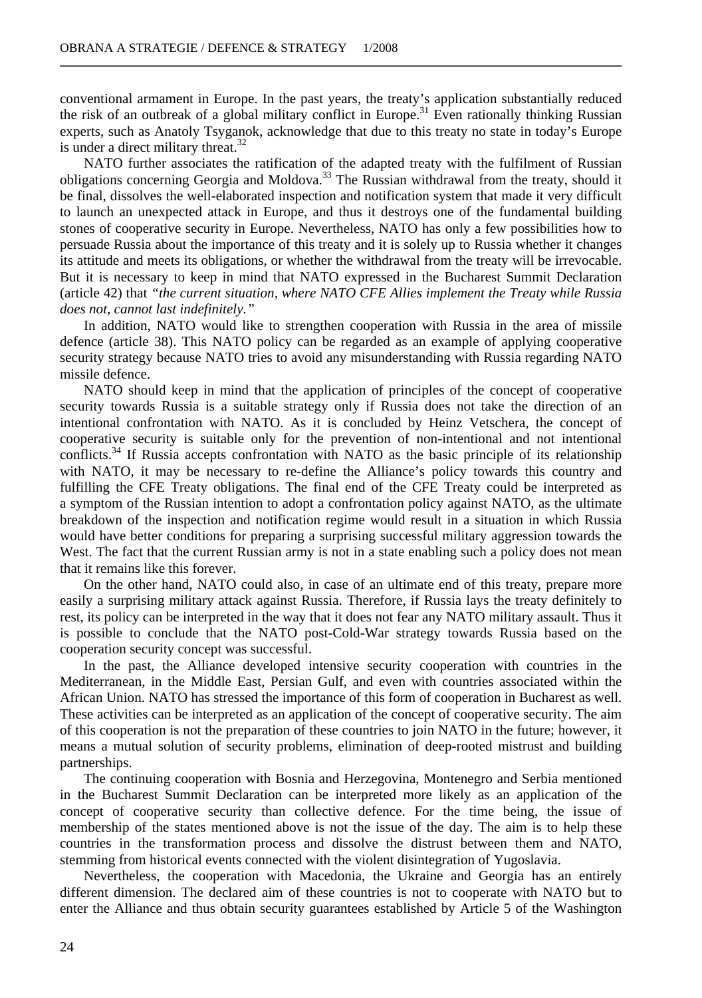conventional armament in Europe. In the past years, the treaty's application substantially reduced the risk of an outbreak of a global military conflict in Europe.<sup>31</sup> Even rationally thinking Russian experts, such as Anatoly Tsyganok, acknowledge that due to this treaty no state in today's Europe is under a direct military threat. $32$ 

NATO further associates the ratification of the adapted treaty with the fulfilment of Russian obligations concerning Georgia and Moldova.<sup>33</sup> The Russian withdrawal from the treaty, should it be final, dissolves the well-elaborated inspection and notification system that made it very difficult to launch an unexpected attack in Europe, and thus it destroys one of the fundamental building stones of cooperative security in Europe. Nevertheless, NATO has only a few possibilities how to persuade Russia about the importance of this treaty and it is solely up to Russia whether it changes its attitude and meets its obligations, or whether the withdrawal from the treaty will be irrevocable. But it is necessary to keep in mind that NATO expressed in the Bucharest Summit Declaration (article 42) that *"the current situation, where NATO CFE Allies implement the Treaty while Russia does not, cannot last indefinitely."*

In addition, NATO would like to strengthen cooperation with Russia in the area of missile defence (article 38). This NATO policy can be regarded as an example of applying cooperative security strategy because NATO tries to avoid any misunderstanding with Russia regarding NATO missile defence.

NATO should keep in mind that the application of principles of the concept of cooperative security towards Russia is a suitable strategy only if Russia does not take the direction of an intentional confrontation with NATO. As it is concluded by Heinz Vetschera, the concept of cooperative security is suitable only for the prevention of non-intentional and not intentional conflicts.<sup>34</sup> If Russia accepts confrontation with NATO as the basic principle of its relationship with NATO, it may be necessary to re-define the Alliance's policy towards this country and fulfilling the CFE Treaty obligations. The final end of the CFE Treaty could be interpreted as a symptom of the Russian intention to adopt a confrontation policy against NATO, as the ultimate breakdown of the inspection and notification regime would result in a situation in which Russia would have better conditions for preparing a surprising successful military aggression towards the West. The fact that the current Russian army is not in a state enabling such a policy does not mean that it remains like this forever.

On the other hand, NATO could also, in case of an ultimate end of this treaty, prepare more easily a surprising military attack against Russia. Therefore, if Russia lays the treaty definitely to rest, its policy can be interpreted in the way that it does not fear any NATO military assault. Thus it is possible to conclude that the NATO post-Cold-War strategy towards Russia based on the cooperation security concept was successful.

In the past, the Alliance developed intensive security cooperation with countries in the Mediterranean, in the Middle East, Persian Gulf, and even with countries associated within the African Union. NATO has stressed the importance of this form of cooperation in Bucharest as well. These activities can be interpreted as an application of the concept of cooperative security. The aim of this cooperation is not the preparation of these countries to join NATO in the future; however, it means a mutual solution of security problems, elimination of deep-rooted mistrust and building partnerships.

The continuing cooperation with Bosnia and Herzegovina, Montenegro and Serbia mentioned in the Bucharest Summit Declaration can be interpreted more likely as an application of the concept of cooperative security than collective defence. For the time being, the issue of membership of the states mentioned above is not the issue of the day. The aim is to help these countries in the transformation process and dissolve the distrust between them and NATO, stemming from historical events connected with the violent disintegration of Yugoslavia.

Nevertheless, the cooperation with Macedonia, the Ukraine and Georgia has an entirely different dimension. The declared aim of these countries is not to cooperate with NATO but to enter the Alliance and thus obtain security guarantees established by Article 5 of the Washington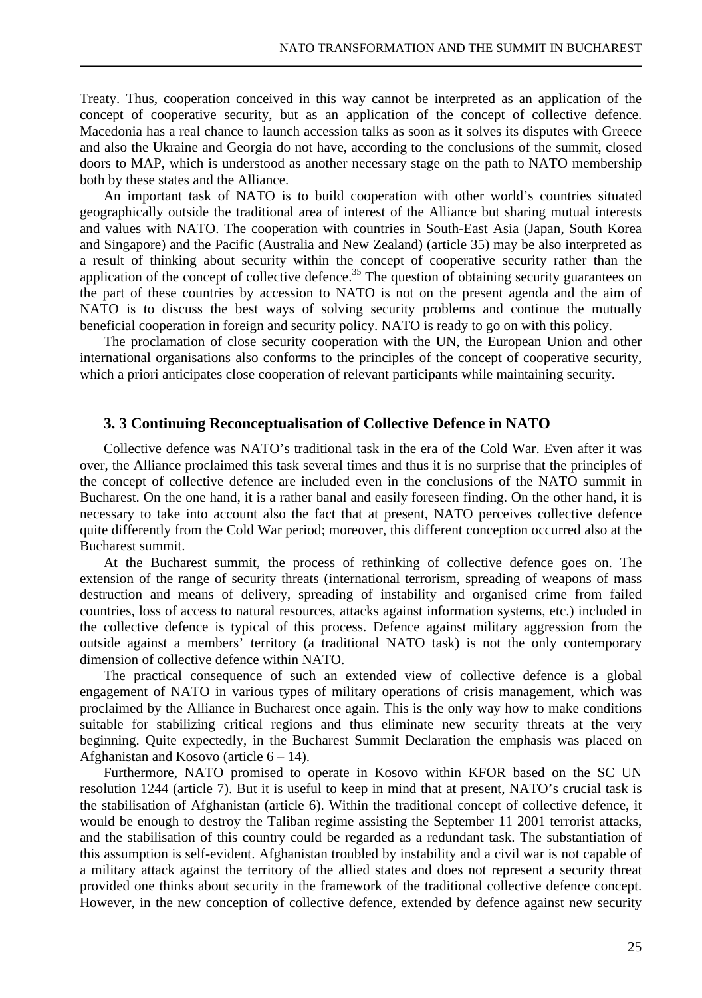Treaty. Thus, cooperation conceived in this way cannot be interpreted as an application of the concept of cooperative security, but as an application of the concept of collective defence. Macedonia has a real chance to launch accession talks as soon as it solves its disputes with Greece and also the Ukraine and Georgia do not have, according to the conclusions of the summit, closed doors to MAP, which is understood as another necessary stage on the path to NATO membership both by these states and the Alliance.

An important task of NATO is to build cooperation with other world's countries situated geographically outside the traditional area of interest of the Alliance but sharing mutual interests and values with NATO. The cooperation with countries in South-East Asia (Japan, South Korea and Singapore) and the Pacific (Australia and New Zealand) (article 35) may be also interpreted as a result of thinking about security within the concept of cooperative security rather than the application of the concept of collective defence.<sup>35</sup> The question of obtaining security guarantees on the part of these countries by accession to NATO is not on the present agenda and the aim of NATO is to discuss the best ways of solving security problems and continue the mutually beneficial cooperation in foreign and security policy. NATO is ready to go on with this policy.

The proclamation of close security cooperation with the UN, the European Union and other international organisations also conforms to the principles of the concept of cooperative security, which a priori anticipates close cooperation of relevant participants while maintaining security.

#### **3. 3 Continuing Reconceptualisation of Collective Defence in NATO**

Collective defence was NATO's traditional task in the era of the Cold War. Even after it was over, the Alliance proclaimed this task several times and thus it is no surprise that the principles of the concept of collective defence are included even in the conclusions of the NATO summit in Bucharest. On the one hand, it is a rather banal and easily foreseen finding. On the other hand, it is necessary to take into account also the fact that at present, NATO perceives collective defence quite differently from the Cold War period; moreover, this different conception occurred also at the Bucharest summit.

At the Bucharest summit, the process of rethinking of collective defence goes on. The extension of the range of security threats (international terrorism, spreading of weapons of mass destruction and means of delivery, spreading of instability and organised crime from failed countries, loss of access to natural resources, attacks against information systems, etc.) included in the collective defence is typical of this process. Defence against military aggression from the outside against a members' territory (a traditional NATO task) is not the only contemporary dimension of collective defence within NATO.

The practical consequence of such an extended view of collective defence is a global engagement of NATO in various types of military operations of crisis management, which was proclaimed by the Alliance in Bucharest once again. This is the only way how to make conditions suitable for stabilizing critical regions and thus eliminate new security threats at the very beginning. Quite expectedly, in the Bucharest Summit Declaration the emphasis was placed on Afghanistan and Kosovo (article  $6 - 14$ ).

Furthermore, NATO promised to operate in Kosovo within KFOR based on the SC UN resolution 1244 (article 7). But it is useful to keep in mind that at present, NATO's crucial task is the stabilisation of Afghanistan (article 6). Within the traditional concept of collective defence, it would be enough to destroy the Taliban regime assisting the September 11 2001 terrorist attacks, and the stabilisation of this country could be regarded as a redundant task. The substantiation of this assumption is self-evident. Afghanistan troubled by instability and a civil war is not capable of a military attack against the territory of the allied states and does not represent a security threat provided one thinks about security in the framework of the traditional collective defence concept. However, in the new conception of collective defence, extended by defence against new security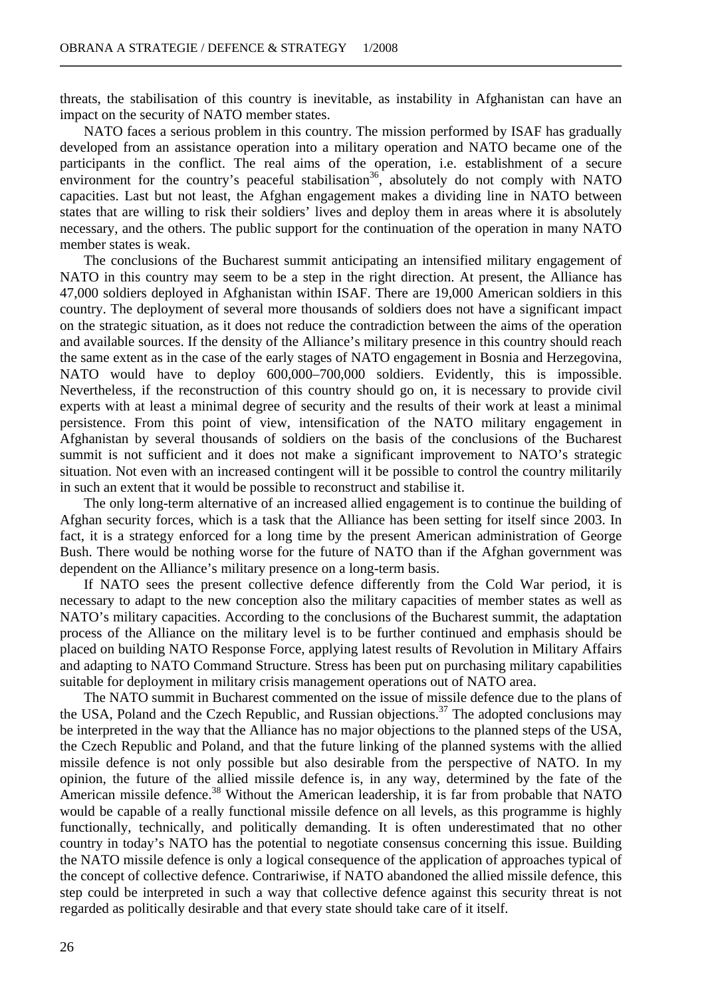threats, the stabilisation of this country is inevitable, as instability in Afghanistan can have an impact on the security of NATO member states.

NATO faces a serious problem in this country. The mission performed by ISAF has gradually developed from an assistance operation into a military operation and NATO became one of the participants in the conflict. The real aims of the operation, i.e. establishment of a secure environment for the country's peaceful stabilisation<sup>36</sup>, absolutely do not comply with NATO capacities. Last but not least, the Afghan engagement makes a dividing line in NATO between states that are willing to risk their soldiers' lives and deploy them in areas where it is absolutely necessary, and the others. The public support for the continuation of the operation in many NATO member states is weak.

The conclusions of the Bucharest summit anticipating an intensified military engagement of NATO in this country may seem to be a step in the right direction. At present, the Alliance has 47,000 soldiers deployed in Afghanistan within ISAF. There are 19,000 American soldiers in this country. The deployment of several more thousands of soldiers does not have a significant impact on the strategic situation, as it does not reduce the contradiction between the aims of the operation and available sources. If the density of the Alliance's military presence in this country should reach the same extent as in the case of the early stages of NATO engagement in Bosnia and Herzegovina, NATO would have to deploy 600,000–700,000 soldiers. Evidently, this is impossible. Nevertheless, if the reconstruction of this country should go on, it is necessary to provide civil experts with at least a minimal degree of security and the results of their work at least a minimal persistence. From this point of view, intensification of the NATO military engagement in Afghanistan by several thousands of soldiers on the basis of the conclusions of the Bucharest summit is not sufficient and it does not make a significant improvement to NATO's strategic situation. Not even with an increased contingent will it be possible to control the country militarily in such an extent that it would be possible to reconstruct and stabilise it.

The only long-term alternative of an increased allied engagement is to continue the building of Afghan security forces, which is a task that the Alliance has been setting for itself since 2003. In fact, it is a strategy enforced for a long time by the present American administration of George Bush. There would be nothing worse for the future of NATO than if the Afghan government was dependent on the Alliance's military presence on a long-term basis.

If NATO sees the present collective defence differently from the Cold War period, it is necessary to adapt to the new conception also the military capacities of member states as well as NATO's military capacities. According to the conclusions of the Bucharest summit, the adaptation process of the Alliance on the military level is to be further continued and emphasis should be placed on building NATO Response Force, applying latest results of Revolution in Military Affairs and adapting to NATO Command Structure. Stress has been put on purchasing military capabilities suitable for deployment in military crisis management operations out of NATO area.

The NATO summit in Bucharest commented on the issue of missile defence due to the plans of the USA, Poland and the Czech Republic, and Russian objections.<sup>37</sup> The adopted conclusions may be interpreted in the way that the Alliance has no major objections to the planned steps of the USA, the Czech Republic and Poland, and that the future linking of the planned systems with the allied missile defence is not only possible but also desirable from the perspective of NATO. In my opinion, the future of the allied missile defence is, in any way, determined by the fate of the American missile defence.<sup>38</sup> Without the American leadership, it is far from probable that NATO would be capable of a really functional missile defence on all levels, as this programme is highly functionally, technically, and politically demanding. It is often underestimated that no other country in today's NATO has the potential to negotiate consensus concerning this issue. Building the NATO missile defence is only a logical consequence of the application of approaches typical of the concept of collective defence. Contrariwise, if NATO abandoned the allied missile defence, this step could be interpreted in such a way that collective defence against this security threat is not regarded as politically desirable and that every state should take care of it itself.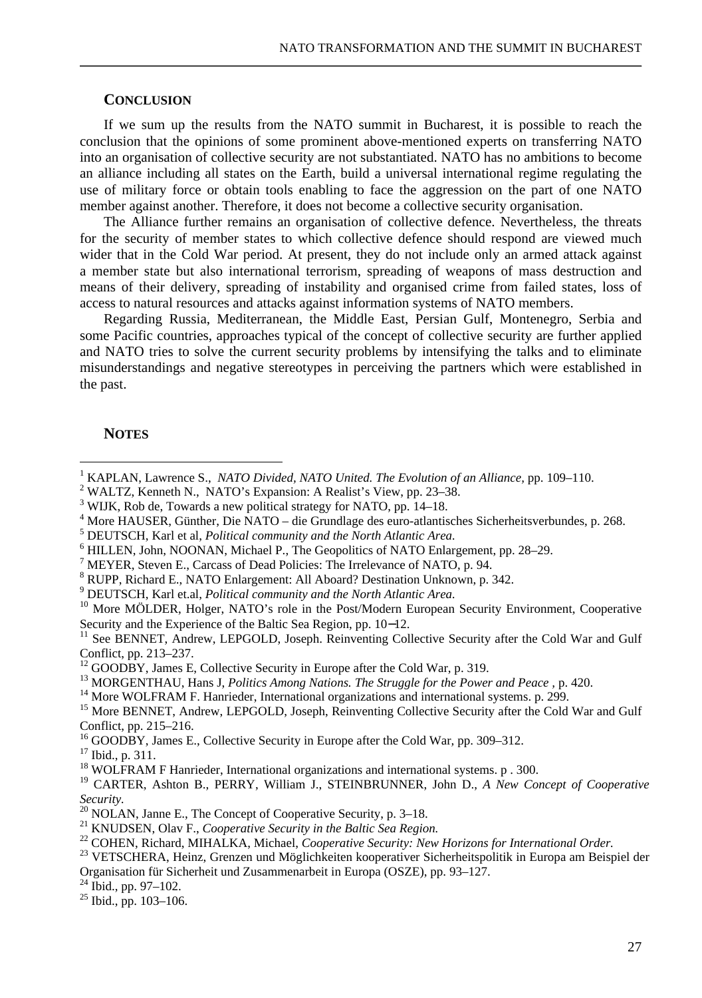## **CONCLUSION**

If we sum up the results from the NATO summit in Bucharest, it is possible to reach the conclusion that the opinions of some prominent above-mentioned experts on transferring NATO into an organisation of collective security are not substantiated. NATO has no ambitions to become an alliance including all states on the Earth, build a universal international regime regulating the use of military force or obtain tools enabling to face the aggression on the part of one NATO member against another. Therefore, it does not become a collective security organisation.

The Alliance further remains an organisation of collective defence. Nevertheless, the threats for the security of member states to which collective defence should respond are viewed much wider that in the Cold War period. At present, they do not include only an armed attack against a member state but also international terrorism, spreading of weapons of mass destruction and means of their delivery, spreading of instability and organised crime from failed states, loss of access to natural resources and attacks against information systems of NATO members.

Regarding Russia, Mediterranean, the Middle East, Persian Gulf, Montenegro, Serbia and some Pacific countries, approaches typical of the concept of collective security are further applied and NATO tries to solve the current security problems by intensifying the talks and to eliminate misunderstandings and negative stereotypes in perceiving the partners which were established in the past.

#### **NOTES**

 $\overline{a}$ 

9 DEUTSCH, Karl et.al, *Political community and the North Atlantic Area.*

<sup>13</sup> MORGENTHAU, Hans J, *Politics Among Nations. The Struggle for the Power and Peace ,* p. 420.

<sup>19</sup> CARTER, Ashton B., PERRY, William J., STEINBRUNNER, John D., *A New Concept of Cooperative Security.*

<sup>21</sup> KNUDSEN, Olav F., *Cooperative Security in the Baltic Sea Region.*

<sup>1</sup> KAPLAN, Lawrence S., *NATO Divided, NATO United. The Evolution of an Alliance*, pp. 109–110.

<sup>&</sup>lt;sup>2</sup> WALTZ, Kenneth N., NATO's Expansion: A Realist's View, pp. 23–38.

<sup>&</sup>lt;sup>3</sup> WIJK, Rob de, Towards a new political strategy for NATO, pp. 14–18.

<sup>4</sup> More HAUSER, Günther, Die NATO – die Grundlage des euro-atlantisches Sicherheitsverbundes, p. 268.

<sup>5</sup> DEUTSCH, Karl et al, *Political community and the North Atlantic Area.*

<sup>&</sup>lt;sup>6</sup> HILLEN, John, NOONAN, Michael P., The Geopolitics of NATO Enlargement, pp. 28–29.

MEYER, Steven E., Carcass of Dead Policies: The Irrelevance of NATO, p. 94.

<sup>8</sup> RUPP, Richard E., NATO Enlargement: All Aboard? Destination Unknown, p. 342.

<sup>&</sup>lt;sup>10</sup> More MÖLDER, Holger, NATO's role in the Post/Modern European Security Environment, Cooperative Security and the Experience of the Baltic Sea Region, pp. 10−12.

<sup>&</sup>lt;sup>11</sup> See BENNET, Andrew, LEPGOLD, Joseph. Reinventing Collective Security after the Cold War and Gulf Conflict, pp. 213–237.

 $12$  GOODBY, James E, Collective Security in Europe after the Cold War, p. 319.

<sup>&</sup>lt;sup>14</sup> More WOLFRAM F. Hanrieder, International organizations and international systems. p. 299.

<sup>&</sup>lt;sup>15</sup> More BENNET, Andrew, LEPGOLD, Joseph, Reinventing Collective Security after the Cold War and Gulf Conflict, pp. 215–216.

<sup>16</sup> GOODBY, James E., Collective Security in Europe after the Cold War*,* pp. 309–312.

<sup>17</sup> Ibid., p. 311.

<sup>&</sup>lt;sup>18</sup> WOLFRAM F Hanrieder, International organizations and international systems. p . 300.

 $20$  NOLAN, Janne E., The Concept of Cooperative Security, p. 3–18.

<sup>22</sup> COHEN, Richard, MIHALKA, Michael, *Cooperative Security: New Horizons for International Order.* 

<sup>&</sup>lt;sup>23</sup> VETSCHERA, Heinz, Grenzen und Möglichkeiten kooperativer Sicherheitspolitik in Europa am Beispiel der Organisation für Sicherheit und Zusammenarbeit in Europa (OSZE), pp. 93–127.

 $24$  Ibid., pp. 97-102.

<sup>25</sup> Ibid., pp. 103–106.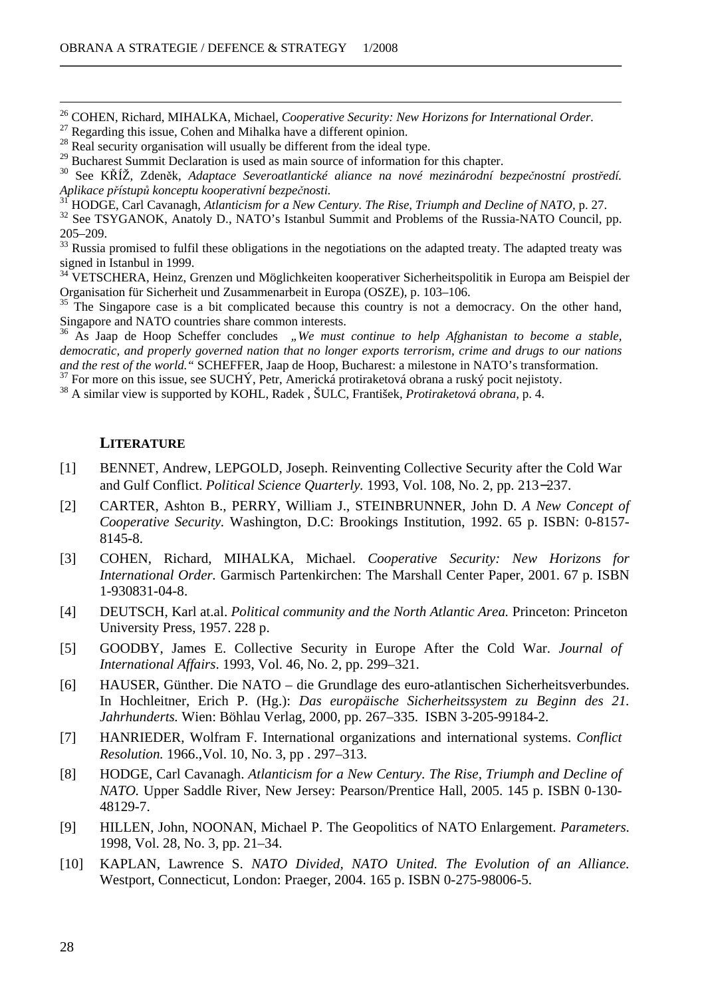<sup>26</sup> COHEN, Richard, MIHALKA, Michael, *Cooperative Security: New Horizons for International Order.* 

 $27$  Regarding this issue, Cohen and Mihalka have a different opinion.

<sup>28</sup> Real security organisation will usually be different from the ideal type.

<sup>29</sup> Bucharest Summit Declaration is used as main source of information for this chapter.

<sup>31</sup> HODGE, Carl Cavanagh, *Atlanticism for a New Century. The Rise, Triumph and Decline of NATO,* p. 27.

<sup>32</sup> See TSYGANOK, Anatoly D., NATO's Istanbul Summit and Problems of the Russia-NATO Council, pp.  $205-209.$ <sup>33</sup> Pussia

<sup>33</sup> Russia promised to fulfil these obligations in the negotiations on the adapted treaty. The adapted treaty was signed in Istanbul in 1999.

<sup>34</sup> VETSCHERA, Heinz, Grenzen und Möglichkeiten kooperativer Sicherheitspolitik in Europa am Beispiel der Organisation für Sicherheit und Zusammenarbeit in Europa (OSZE), p. 103–106.

The Singapore case is a bit complicated because this country is not a democracy. On the other hand, Singapore and NATO countries share common interests.

<sup>36</sup> As Jaap de Hoop Scheffer concludes *"We must continue to help Afghanistan to become a stable, democratic, and properly governed nation that no longer exports terrorism, crime and drugs to our nations and the rest of the world."* SCHEFFER, Jaap de Hoop, Bucharest: a milestone in NATO's transformation.

 $37$  For more on this issue, see SUCHÝ, Petr, Americká protiraketová obrana a ruský pocit nejistoty.

<sup>38</sup> A similar view is supported by KOHL, Radek , ŠULC, František, *Protiraketová obrana,* p. 4.

#### **LITERATURE**

 $\overline{a}$ 

- [1] BENNET, Andrew, LEPGOLD, Joseph. Reinventing Collective Security after the Cold War and Gulf Conflict. *Political Science Quarterly.* 1993, Vol. 108, No. 2, pp. 213−237.
- [2] CARTER, Ashton B., PERRY, William J., STEINBRUNNER, John D. *A New Concept of Cooperative Security.* Washington, D.C: Brookings Institution, 1992. 65 p. ISBN: 0-8157- 8145-8.
- [3] COHEN, Richard, MIHALKA, Michael. *Cooperative Security: New Horizons for International Order.* Garmisch Partenkirchen: The Marshall Center Paper, 2001. 67 p. ISBN 1-930831-04-8.
- [4] DEUTSCH, Karl at.al. *Political community and the North Atlantic Area.* Princeton: Princeton University Press, 1957. 228 p.
- [5] GOODBY, James E. Collective Security in Europe After the Cold War. *Journal of International Affairs*. 1993, Vol. 46, No. 2, pp. 299–321.
- [6] HAUSER, Günther. Die NATO die Grundlage des euro-atlantischen Sicherheitsverbundes. In Hochleitner, Erich P. (Hg.): *Das europäische Sicherheitssystem zu Beginn des 21. Jahrhunderts.* Wien: Böhlau Verlag, 2000, pp. 267–335. ISBN 3-205-99184-2.
- [7] HANRIEDER, Wolfram F. International organizations and international systems. *Conflict Resolution.* 1966.,Vol. 10, No. 3, pp . 297–313.
- [8] HODGE, Carl Cavanagh. *Atlanticism for a New Century. The Rise, Triumph and Decline of NATO.* Upper Saddle River, New Jersey: Pearson/Prentice Hall, 2005. 145 p. ISBN 0-130-48129-7.
- [9] HILLEN, John, NOONAN, Michael P. The Geopolitics of NATO Enlargement. *Parameters*. 1998, Vol. 28, No. 3, pp. 21–34.
- [10] KAPLAN, Lawrence S. *NATO Divided, NATO United. The Evolution of an Alliance.* Westport, Connecticut, London: Praeger, 2004. 165 p. ISBN 0-275-98006-5.

<sup>30</sup> See KŘÍŽ, Zdeněk, *Adaptace Severoatlantické aliance na nové mezinárodní bezpečnostní prostředí. Aplikace přístupů konceptu kooperativní bezpečnosti.*